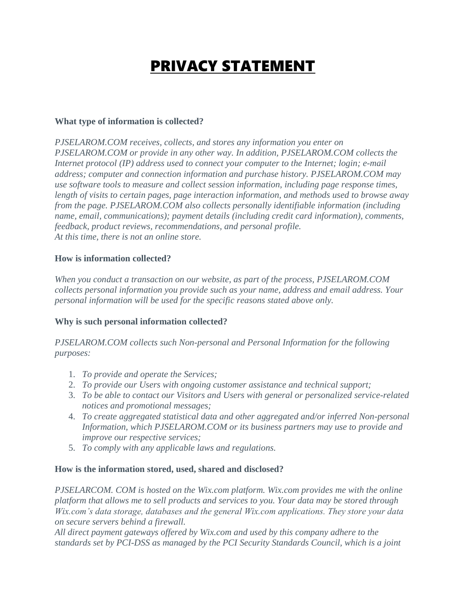# PRIVACY STATEMENT

#### **What type of information is collected?**

*PJSELAROM.COM receives, collects, and stores any information you enter on PJSELAROM.COM or provide in any other way. In addition, PJSELAROM.COM collects the Internet protocol (IP) address used to connect your computer to the Internet; login; e-mail address; computer and connection information and purchase history. PJSELAROM.COM may use software tools to measure and collect session information, including page response times, length of visits to certain pages, page interaction information, and methods used to browse away from the page. PJSELAROM.COM also collects personally identifiable information (including name, email, communications); payment details (including credit card information), comments, feedback, product reviews, recommendations, and personal profile. At this time, there is not an online store.*

## **How is information collected?**

*When you conduct a transaction on our website, as part of the process, PJSELAROM.COM collects personal information you provide such as your name, address and email address. Your personal information will be used for the specific reasons stated above only.*

## **Why is such personal information collected?**

*PJSELAROM.COM collects such Non-personal and Personal Information for the following purposes:*

- 1. *To provide and operate the Services;*
- 2. *To provide our Users with ongoing customer assistance and technical support;*
- 3. *To be able to contact our Visitors and Users with general or personalized service-related notices and promotional messages;*
- 4. *To create aggregated statistical data and other aggregated and/or inferred Non-personal Information, which PJSELAROM.COM or its business partners may use to provide and improve our respective services;*
- 5. *To comply with any applicable laws and regulations.*

## **How is the information stored, used, shared and disclosed?**

*PJSELARCOM. COM is hosted on the Wix.com platform. Wix.com provides me with the online platform that allows me to sell products and services to you. Your data may be stored through Wix.com's data storage, databases and the general Wix.com applications. They store your data on secure servers behind a firewall.*

*All direct payment gateways offered by Wix.com and used by this company adhere to the standards set by PCI-DSS as managed by the PCI Security Standards Council, which is a joint*